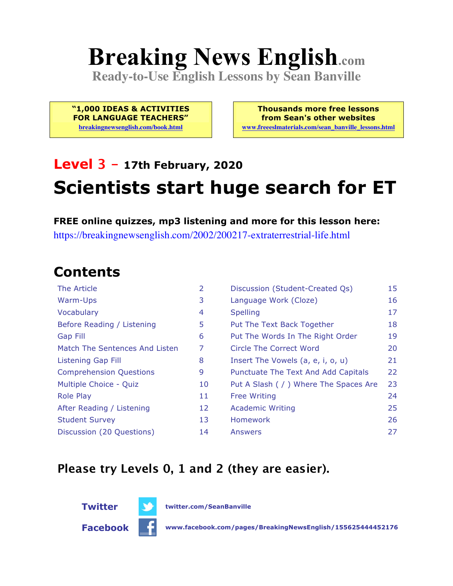# **Breaking News English.com**

**Ready-to-Use English Lessons by Sean Banville**

**"1,000 IDEAS & ACTIVITIES FOR LANGUAGE TEACHERS"**

**breakingnewsenglish.com/book.html**

**Thousands more free lessons from Sean's other websites www.freeeslmaterials.com/sean\_banville\_lessons.html**

## **Level 3 - 17th February, 2020 Scientists start huge search for ET**

**FREE online quizzes, mp3 listening and more for this lesson here:** https://breakingnewsenglish.com/2002/200217-extraterrestrial-life.html

#### **Contents**

| The Article                    | $\overline{2}$ | Discussion (Student-Created Qs)        | 15 |
|--------------------------------|----------------|----------------------------------------|----|
| Warm-Ups                       | 3              | Language Work (Cloze)                  | 16 |
| Vocabulary                     | 4              | <b>Spelling</b>                        | 17 |
| Before Reading / Listening     | 5              | Put The Text Back Together             | 18 |
| <b>Gap Fill</b>                | 6              | Put The Words In The Right Order       | 19 |
| Match The Sentences And Listen | 7              | Circle The Correct Word                | 20 |
| <b>Listening Gap Fill</b>      | 8              | Insert The Vowels (a, e, i, o, u)      | 21 |
| <b>Comprehension Questions</b> | 9              | Punctuate The Text And Add Capitals    | 22 |
| Multiple Choice - Quiz         | 10             | Put A Slash ( / ) Where The Spaces Are | 23 |
| <b>Role Play</b>               | 11             | <b>Free Writing</b>                    | 24 |
| After Reading / Listening      | 12             | <b>Academic Writing</b>                | 25 |
| <b>Student Survey</b>          | 13             | Homework                               | 26 |
| Discussion (20 Questions)      | 14             | Answers                                | 27 |

#### **Please try Levels 0, 1 and 2 (they are easier).**



**Twitter twitter.com/SeanBanville**

**Facebook www.facebook.com/pages/BreakingNewsEnglish/155625444452176**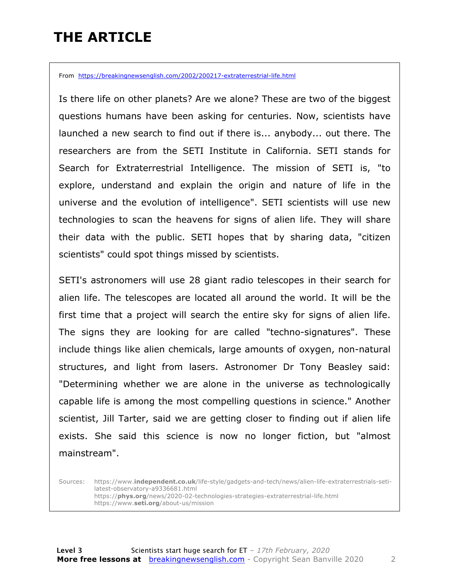### **THE ARTICLE**

From https://breakingnewsenglish.com/2002/200217-extraterrestrial-life.html

Is there life on other planets? Are we alone? These are two of the biggest questions humans have been asking for centuries. Now, scientists have launched a new search to find out if there is... anybody... out there. The researchers are from the SETI Institute in California. SETI stands for Search for Extraterrestrial Intelligence. The mission of SETI is, "to explore, understand and explain the origin and nature of life in the universe and the evolution of intelligence". SETI scientists will use new technologies to scan the heavens for signs of alien life. They will share their data with the public. SETI hopes that by sharing data, "citizen scientists" could spot things missed by scientists.

SETI's astronomers will use 28 giant radio telescopes in their search for alien life. The telescopes are located all around the world. It will be the first time that a project will search the entire sky for signs of alien life. The signs they are looking for are called "techno-signatures". These include things like alien chemicals, large amounts of oxygen, non-natural structures, and light from lasers. Astronomer Dr Tony Beasley said: "Determining whether we are alone in the universe as technologically capable life is among the most compelling questions in science." Another scientist, Jill Tarter, said we are getting closer to finding out if alien life exists. She said this science is now no longer fiction, but "almost mainstream".

Sources: https://www.**independent.co.uk**/life-style/gadgets-and-tech/news/alien-life-extraterrestrials-setilatest-observatory-a9336681.html https://**phys.org**/news/2020-02-technologies-strategies-extraterrestrial-life.html https://www.**seti.org**/about-us/mission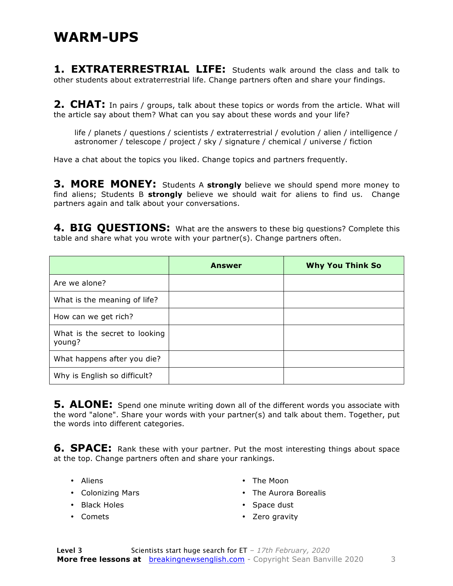**1. EXTRATERRESTRIAL LIFE:** Students walk around the class and talk to other students about extraterrestrial life. Change partners often and share your findings.

**2. CHAT:** In pairs / groups, talk about these topics or words from the article. What will the article say about them? What can you say about these words and your life?

life / planets / questions / scientists / extraterrestrial / evolution / alien / intelligence / astronomer / telescope / project / sky / signature / chemical / universe / fiction

Have a chat about the topics you liked. Change topics and partners frequently.

**3. MORE MONEY:** Students A **strongly** believe we should spend more money to find aliens; Students B **strongly** believe we should wait for aliens to find us. Change partners again and talk about your conversations.

**4. BIG QUESTIONS:** What are the answers to these big questions? Complete this table and share what you wrote with your partner(s). Change partners often.

|                                         | <b>Answer</b> | <b>Why You Think So</b> |
|-----------------------------------------|---------------|-------------------------|
| Are we alone?                           |               |                         |
| What is the meaning of life?            |               |                         |
| How can we get rich?                    |               |                         |
| What is the secret to looking<br>young? |               |                         |
| What happens after you die?             |               |                         |
| Why is English so difficult?            |               |                         |

**5. ALONE:** Spend one minute writing down all of the different words you associate with the word "alone". Share your words with your partner(s) and talk about them. Together, put the words into different categories.

**6. SPACE:** Rank these with your partner. Put the most interesting things about space at the top. Change partners often and share your rankings.

- Aliens
- Colonizing Mars
- Black Holes
- Comets
- The Moon
- The Aurora Borealis
- Space dust
- Zero gravity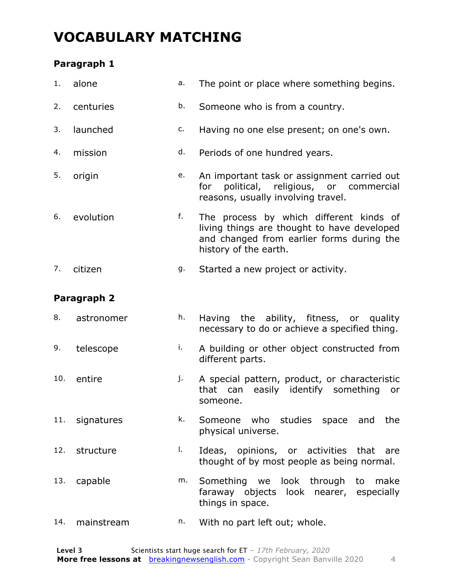### **VOCABULARY MATCHING**

#### **Paragraph 1**

| 1.  | alone       | a. | The point or place where something begins.                                                                                                                   |
|-----|-------------|----|--------------------------------------------------------------------------------------------------------------------------------------------------------------|
| 2.  | centuries   | b. | Someone who is from a country.                                                                                                                               |
| 3.  | launched    | c. | Having no one else present; on one's own.                                                                                                                    |
| 4.  | mission     | d. | Periods of one hundred years.                                                                                                                                |
| 5.  | origin      | e. | An important task or assignment carried out<br>political, religious, or commercial<br>for<br>reasons, usually involving travel.                              |
| 6.  | evolution   | f. | The process by which different kinds of<br>living things are thought to have developed<br>and changed from earlier forms during the<br>history of the earth. |
| 7.  | citizen     | g. | Started a new project or activity.                                                                                                                           |
|     | Paragraph 2 |    |                                                                                                                                                              |
| 8.  | astronomer  | h. | Having the ability, fitness, or quality<br>necessary to do or achieve a specified thing.                                                                     |
| 9.  | telescope   | i. | A building or other object constructed from<br>different parts.                                                                                              |
| 10. | entire      | j. | A special pattern, product, or characteristic<br>easily identify something<br>that can<br>or<br>someone.                                                     |

- 11. signatures **k.** Someone who studies space and the physical universe.
- 12. structure l. Ideas, opinions, or activities that are thought of by most people as being normal.
- 13. capable m. Something we look through to make faraway objects look nearer, especially things in space.
- 14. mainstream n. With no part left out; whole.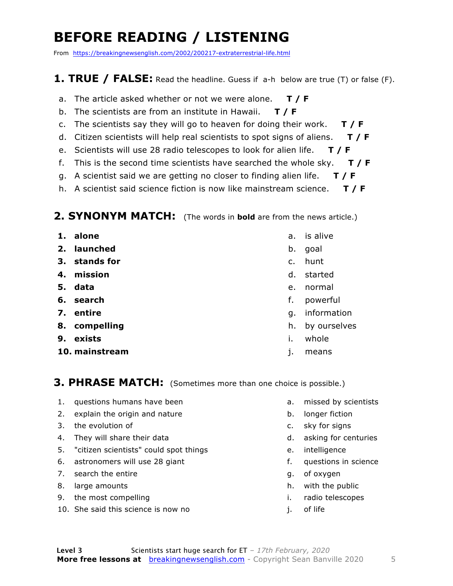### **BEFORE READING / LISTENING**

From https://breakingnewsenglish.com/2002/200217-extraterrestrial-life.html

#### **1. TRUE / FALSE:** Read the headline. Guess if a-h below are true (T) or false (F).

- a. The article asked whether or not we were alone. **T / F**
- b. The scientists are from an institute in Hawaii. **T / F**
- c. The scientists say they will go to heaven for doing their work. **T / F**
- d. Citizen scientists will help real scientists to spot signs of aliens. **T / F**
- e. Scientists will use 28 radio telescopes to look for alien life. **T / F**
- f. This is the second time scientists have searched the whole sky. **T / F**
- g. A scientist said we are getting no closer to finding alien life. **T / F**
- h. A scientist said science fiction is now like mainstream science. **T / F**

#### **2. SYNONYM MATCH:** (The words in **bold** are from the news article.)

- **1. alone**
- **2. launched**
- **3. stands for**
- **4. mission**
- **5. data**
- **6. search**
- **7. entire**
- **8. compelling**
- **9. exists**
- **10. mainstream**
- a. is alive
- b. goal
- c. hunt
- d. started
- e. normal
- f. powerful
- g. information
- h. by ourselves
- i. whole
- j. means

#### **3. PHRASE MATCH:** (Sometimes more than one choice is possible.)

- 1. questions humans have been
- 2. explain the origin and nature
- 3. the evolution of
- 4. They will share their data
- 5. "citizen scientists" could spot things
- 6. astronomers will use 28 giant
- 7. search the entire
- 8. large amounts
- 9. the most compelling
- 10. She said this science is now no
- a. missed by scientists
- b. longer fiction
- c. sky for signs
- d. asking for centuries
- e. intelligence
- f. questions in science
- g. of oxygen
- h. with the public
- i. radio telescopes
- j. of life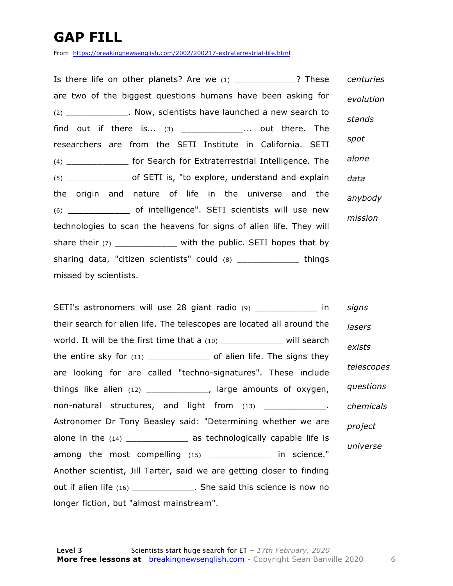### **GAP FILL**

From https://breakingnewsenglish.com/2002/200217-extraterrestrial-life.html

Is there life on other planets? Are we (1) 2 These are two of the biggest questions humans have been asking for (2) \_\_\_\_\_\_\_\_\_\_\_\_. Now, scientists have launched a new search to find out if there is...  $(3)$   $\ldots$  out there. The researchers are from the SETI Institute in California. SETI (4) \_\_\_\_\_\_\_\_\_\_\_\_ for Search for Extraterrestrial Intelligence. The (5) \_\_\_\_\_\_\_\_\_\_\_\_ of SETI is, "to explore, understand and explain the origin and nature of life in the universe and the (6) \_\_\_\_\_\_\_\_\_\_\_\_ of intelligence". SETI scientists will use new technologies to scan the heavens for signs of alien life. They will share their  $(7)$  \_\_\_\_\_\_\_\_\_\_\_\_\_\_\_ with the public. SETI hopes that by sharing data, "citizen scientists" could (8) \_\_\_\_\_\_\_\_\_\_\_\_ things missed by scientists. *centuries evolution stands spot alone data anybody mission*

SETI's astronomers will use 28 giant radio (9) \_\_\_\_\_\_\_\_\_\_\_\_\_\_\_\_\_\_ in their search for alien life. The telescopes are located all around the world. It will be the first time that a (10) \_\_\_\_\_\_\_\_\_\_\_\_\_ will search the entire sky for  $(11)$  of alien life. The signs they are looking for are called "techno-signatures". These include things like alien (12) \_\_\_\_\_\_\_\_\_\_\_\_, large amounts of oxygen, non-natural structures, and light from (13) \_\_\_\_\_\_\_\_\_\_\_\_\_\_. Astronomer Dr Tony Beasley said: "Determining whether we are alone in the  $(14)$  \_\_\_\_\_\_\_\_\_\_\_\_\_\_ as technologically capable life is among the most compelling (15) \_\_\_\_\_\_\_\_\_\_\_\_ in science." Another scientist, Jill Tarter, said we are getting closer to finding out if alien life (16) \_\_\_\_\_\_\_\_\_\_\_\_\_\_. She said this science is now no longer fiction, but "almost mainstream". *signs lasers exists telescopes questions chemicals project universe*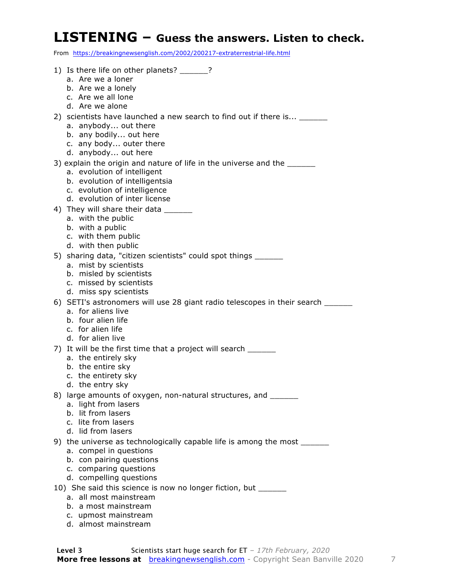#### **LISTENING – Guess the answers. Listen to check.**

From https://breakingnewsenglish.com/2002/200217-extraterrestrial-life.html

- 1) Is there life on other planets? a. Are we a loner b. Are we a lonely c. Are we all lone d. Are we alone 2) scientists have launched a new search to find out if there is... \_\_\_\_\_ a. anybody... out there b. any bodily... out here c. any body... outer there d. anybody... out here 3) explain the origin and nature of life in the universe and the \_\_\_\_\_\_\_ a. evolution of intelligent b. evolution of intelligentsia c. evolution of intelligence d. evolution of inter license 4) They will share their data \_\_\_\_\_ a. with the public b. with a public c. with them public d. with then public 5) sharing data, "citizen scientists" could spot things \_\_\_\_\_\_ a. mist by scientists b. misled by scientists c. missed by scientists d. miss spy scientists 6) SETI's astronomers will use 28 giant radio telescopes in their search \_\_\_\_\_\_ a. for aliens live b. four alien life c. for alien life d. for alien live 7) It will be the first time that a project will search \_\_\_\_\_\_ a. the entirely sky b. the entire sky c. the entirety sky d. the entry sky 8) large amounts of oxygen, non-natural structures, and a. light from lasers b. lit from lasers c. lite from lasers d. lid from lasers 9) the universe as technologically capable life is among the most \_\_\_\_\_\_ a. compel in questions b. con pairing questions c. comparing questions d. compelling questions 10) She said this science is now no longer fiction, but \_\_\_\_\_\_ a. all most mainstream b. a most mainstream c. upmost mainstream
	- d. almost mainstream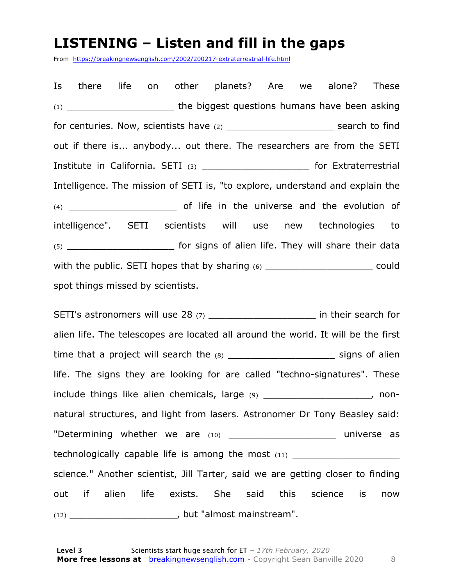#### **LISTENING – Listen and fill in the gaps**

From https://breakingnewsenglish.com/2002/200217-extraterrestrial-life.html

Is there life on other planets? Are we alone? These (1) **the biggest questions humans have been asking** for centuries. Now, scientists have (2) example 1 and search to find out if there is... anybody... out there. The researchers are from the SETI Institute in California. SETI (3) \_\_\_\_\_\_\_\_\_\_\_\_\_\_\_\_\_\_\_\_\_\_\_\_\_ for Extraterrestrial Intelligence. The mission of SETI is, "to explore, understand and explain the (4) \_\_\_\_\_\_\_\_\_\_\_\_\_\_\_\_\_\_\_ of life in the universe and the evolution of intelligence". SETI scientists will use new technologies to (5) \_\_\_\_\_\_\_\_\_\_\_\_\_\_\_\_\_\_\_ for signs of alien life. They will share their data with the public. SETI hopes that by sharing  $(6)$  \_\_\_\_\_\_\_\_\_\_\_\_\_\_\_\_\_\_\_\_\_\_\_\_\_\_\_\_\_\_ could spot things missed by scientists.

SETI's astronomers will use 28 (7) The search for their search for alien life. The telescopes are located all around the world. It will be the first time that a project will search the (8) The signs of alien life. The signs they are looking for are called "techno-signatures". These include things like alien chemicals, large (9) \_\_\_\_\_\_\_\_\_\_\_\_\_\_\_\_\_\_\_\_\_, nonnatural structures, and light from lasers. Astronomer Dr Tony Beasley said: "Determining whether we are (10) \_\_\_\_\_\_\_\_\_\_\_\_\_\_\_\_\_\_\_\_\_\_\_ universe as technologically capable life is among the most  $(11)$ science." Another scientist, Jill Tarter, said we are getting closer to finding out if alien life exists. She said this science is now (12) \_\_\_\_\_\_\_\_\_\_\_\_\_\_\_\_\_\_\_, but "almost mainstream".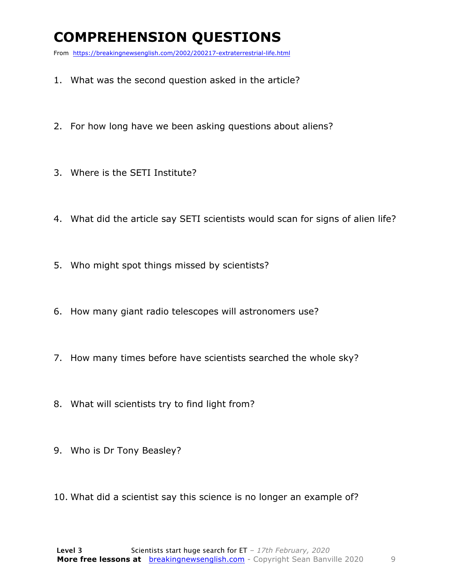### **COMPREHENSION QUESTIONS**

From https://breakingnewsenglish.com/2002/200217-extraterrestrial-life.html

- 1. What was the second question asked in the article?
- 2. For how long have we been asking questions about aliens?
- 3. Where is the SETI Institute?
- 4. What did the article say SETI scientists would scan for signs of alien life?
- 5. Who might spot things missed by scientists?
- 6. How many giant radio telescopes will astronomers use?
- 7. How many times before have scientists searched the whole sky?
- 8. What will scientists try to find light from?
- 9. Who is Dr Tony Beasley?
- 10. What did a scientist say this science is no longer an example of?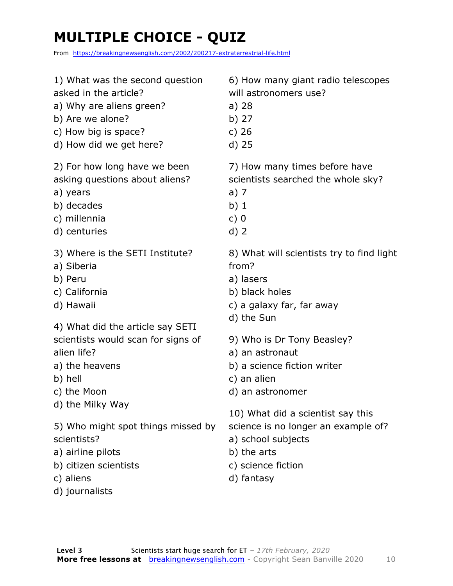### **MULTIPLE CHOICE - QUIZ**

From https://breakingnewsenglish.com/2002/200217-extraterrestrial-life.html

| 1) What was the second question                                                                                                | 6) How many giant radio telescopes                                                                           |
|--------------------------------------------------------------------------------------------------------------------------------|--------------------------------------------------------------------------------------------------------------|
| asked in the article?                                                                                                          | will astronomers use?                                                                                        |
| a) Why are aliens green?                                                                                                       | $a)$ 28                                                                                                      |
| b) Are we alone?                                                                                                               | b) 27                                                                                                        |
| c) How big is space?                                                                                                           | c) $26$                                                                                                      |
| d) How did we get here?                                                                                                        | d) 25                                                                                                        |
| 2) For how long have we been                                                                                                   | 7) How many times before have                                                                                |
| asking questions about aliens?                                                                                                 | scientists searched the whole sky?                                                                           |
| a) years                                                                                                                       | a) 7                                                                                                         |
| b) decades                                                                                                                     | $b)$ 1                                                                                                       |
| c) millennia                                                                                                                   | c)0                                                                                                          |
| d) centuries                                                                                                                   | $d)$ 2                                                                                                       |
| 3) Where is the SETI Institute?                                                                                                | 8) What will scientists try to find light                                                                    |
| a) Siberia                                                                                                                     | from?                                                                                                        |
| b) Peru                                                                                                                        | a) lasers                                                                                                    |
| c) California                                                                                                                  | b) black holes                                                                                               |
| d) Hawaii                                                                                                                      | c) a galaxy far, far away                                                                                    |
| 4) What did the article say SETI                                                                                               | d) the Sun                                                                                                   |
| scientists would scan for signs of                                                                                             | 9) Who is Dr Tony Beasley?                                                                                   |
| alien life?                                                                                                                    | a) an astronaut                                                                                              |
| a) the heavens                                                                                                                 | b) a science fiction writer                                                                                  |
| b) hell                                                                                                                        | c) an alien                                                                                                  |
| c) the Moon                                                                                                                    | d) an astronomer                                                                                             |
| d) the Milky Way                                                                                                               | 10) What did a scientist say this                                                                            |
| 5) Who might spot things missed by<br>scientists?<br>a) airline pilots<br>b) citizen scientists<br>c) aliens<br>d) journalists | science is no longer an example of?<br>a) school subjects<br>b) the arts<br>c) science fiction<br>d) fantasy |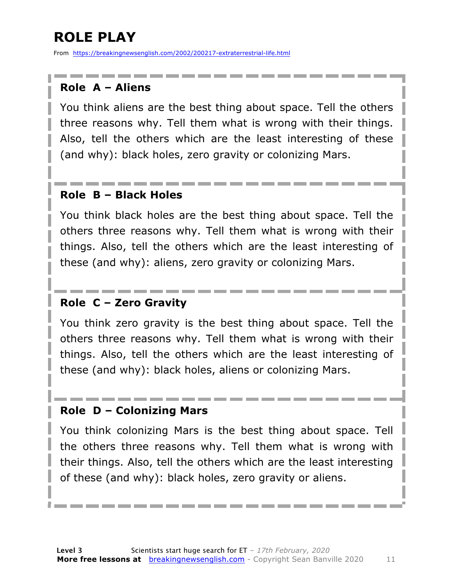### **ROLE PLAY**

From https://breakingnewsenglish.com/2002/200217-extraterrestrial-life.html

#### **Role A – Aliens**

You think aliens are the best thing about space. Tell the others three reasons why. Tell them what is wrong with their things. Also, tell the others which are the least interesting of these (and why): black holes, zero gravity or colonizing Mars.

#### **Role B – Black Holes**

You think black holes are the best thing about space. Tell the others three reasons why. Tell them what is wrong with their things. Also, tell the others which are the least interesting of these (and why): aliens, zero gravity or colonizing Mars.

#### **Role C – Zero Gravity**

You think zero gravity is the best thing about space. Tell the others three reasons why. Tell them what is wrong with their things. Also, tell the others which are the least interesting of these (and why): black holes, aliens or colonizing Mars.

#### **Role D – Colonizing Mars**

You think colonizing Mars is the best thing about space. Tell the others three reasons why. Tell them what is wrong with their things. Also, tell the others which are the least interesting of these (and why): black holes, zero gravity or aliens.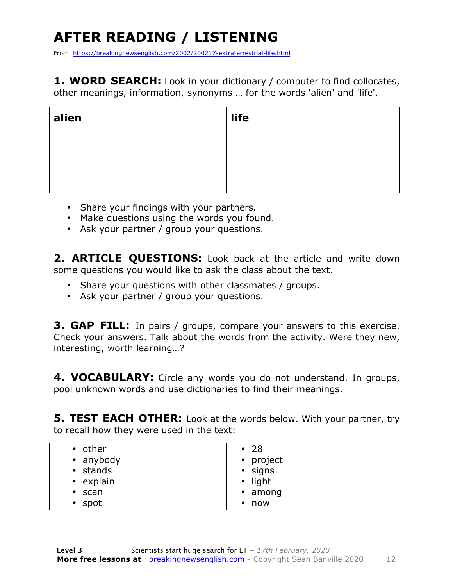### **AFTER READING / LISTENING**

From https://breakingnewsenglish.com/2002/200217-extraterrestrial-life.html

**1. WORD SEARCH:** Look in your dictionary / computer to find collocates, other meanings, information, synonyms … for the words 'alien' and 'life'.

| alien | life |
|-------|------|
|       |      |
|       |      |
|       |      |

- Share your findings with your partners.
- Make questions using the words you found.
- Ask your partner / group your questions.

2. **ARTICLE OUESTIONS:** Look back at the article and write down some questions you would like to ask the class about the text.

- Share your questions with other classmates / groups.
- Ask your partner / group your questions.

**3. GAP FILL:** In pairs / groups, compare your answers to this exercise. Check your answers. Talk about the words from the activity. Were they new, interesting, worth learning…?

**4. VOCABULARY:** Circle any words you do not understand. In groups, pool unknown words and use dictionaries to find their meanings.

**5. TEST EACH OTHER:** Look at the words below. With your partner, try to recall how they were used in the text:

| • other        | $\cdot$ 28      |
|----------------|-----------------|
| • anybody      | • project       |
| • stands       | · signs         |
| • explain      | $\bullet$ light |
| $\cdot$ scan   | $\cdot$ among   |
| $\bullet$ spot | $\cdot$ now     |
|                |                 |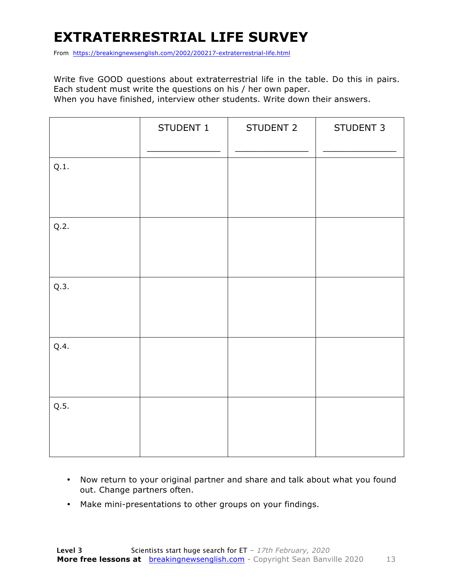### **EXTRATERRESTRIAL LIFE SURVEY**

From https://breakingnewsenglish.com/2002/200217-extraterrestrial-life.html

Write five GOOD questions about extraterrestrial life in the table. Do this in pairs. Each student must write the questions on his / her own paper. When you have finished, interview other students. Write down their answers.

|      | STUDENT 1 | STUDENT 2 | STUDENT 3 |
|------|-----------|-----------|-----------|
| Q.1. |           |           |           |
| Q.2. |           |           |           |
| Q.3. |           |           |           |
| Q.4. |           |           |           |
| Q.5. |           |           |           |

- Now return to your original partner and share and talk about what you found out. Change partners often.
- Make mini-presentations to other groups on your findings.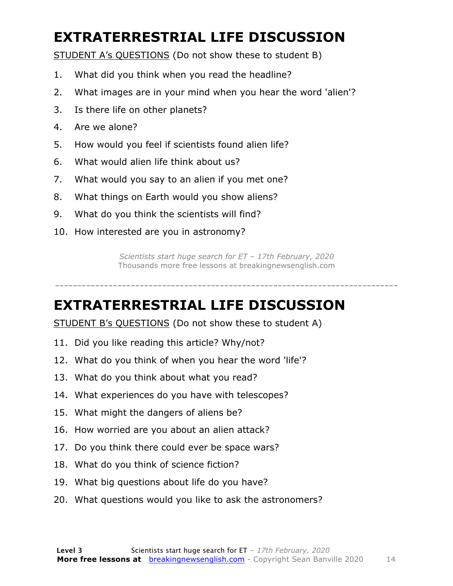### **EXTRATERRESTRIAL LIFE DISCUSSION**

STUDENT A's QUESTIONS (Do not show these to student B)

- 1. What did you think when you read the headline?
- 2. What images are in your mind when you hear the word 'alien'?
- 3. Is there life on other planets?
- 4. Are we alone?
- 5. How would you feel if scientists found alien life?
- 6. What would alien life think about us?
- 7. What would you say to an alien if you met one?
- 8. What things on Earth would you show aliens?
- 9. What do you think the scientists will find?
- 10. How interested are you in astronomy?

*Scientists start huge search for ET – 17th February, 2020* Thousands more free lessons at breakingnewsenglish.com

-----------------------------------------------------------------------------

#### **EXTRATERRESTRIAL LIFE DISCUSSION**

STUDENT B's QUESTIONS (Do not show these to student A)

- 11. Did you like reading this article? Why/not?
- 12. What do you think of when you hear the word 'life'?
- 13. What do you think about what you read?
- 14. What experiences do you have with telescopes?
- 15. What might the dangers of aliens be?
- 16. How worried are you about an alien attack?
- 17. Do you think there could ever be space wars?
- 18. What do you think of science fiction?
- 19. What big questions about life do you have?
- 20. What questions would you like to ask the astronomers?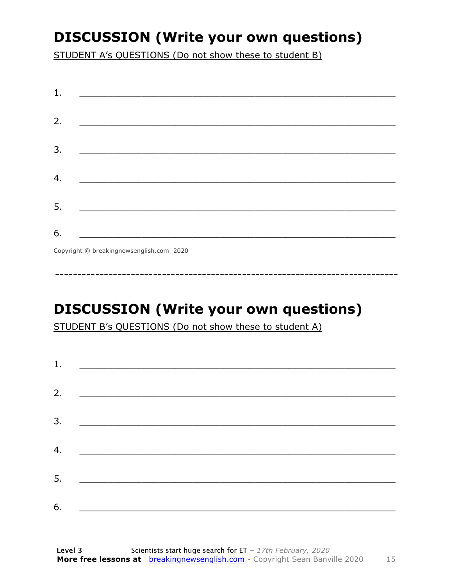### **DISCUSSION (Write your own questions)**

STUDENT A's QUESTIONS (Do not show these to student B)

| 1. |                                                    |
|----|----------------------------------------------------|
|    |                                                    |
| 2. |                                                    |
|    |                                                    |
| 3. |                                                    |
|    | <u> 1980 - John Stein, Amerikaansk politiker (</u> |
|    |                                                    |
| 4. |                                                    |
|    |                                                    |
| 5. |                                                    |
|    |                                                    |
| 6. |                                                    |
|    | Copyright © breakingnewsenglish.com 2020           |

### **DISCUSSION (Write your own questions)**

STUDENT B's QUESTIONS (Do not show these to student A)

| 1. |                                                                                                                         |  |  |
|----|-------------------------------------------------------------------------------------------------------------------------|--|--|
|    |                                                                                                                         |  |  |
| 2. | <u> 1980 - Antonio Alemania, prima prestava postala de la provincia de la provincia de la provincia de la provincia</u> |  |  |
| 3. | <u> 1980 - Andrea Andrew Maria (h. 1980).</u>                                                                           |  |  |
|    |                                                                                                                         |  |  |
| 4. | <u> 1980 - Jan Barbara Barat, martin da basar da basar da basar da basar da basar da basar da basar da basar da b</u>   |  |  |
| 5. | <u> 1986 - Johann Stoff, deutscher Stoff und der Stoff und der Stoff und der Stoff und der Stoff und der Stoff und</u>  |  |  |
|    |                                                                                                                         |  |  |
| 6. |                                                                                                                         |  |  |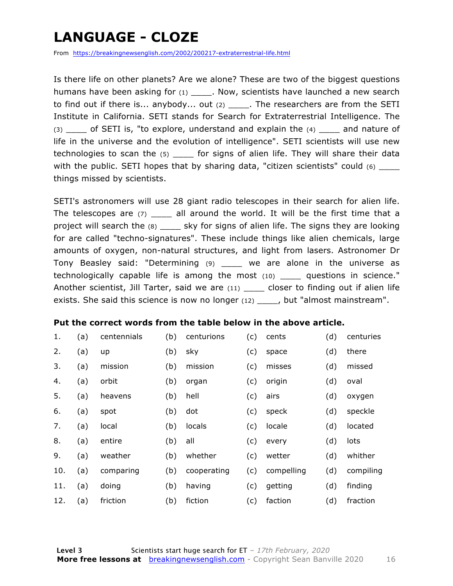### **LANGUAGE - CLOZE**

From https://breakingnewsenglish.com/2002/200217-extraterrestrial-life.html

Is there life on other planets? Are we alone? These are two of the biggest questions humans have been asking for (1) \_\_\_\_\_. Now, scientists have launched a new search to find out if there is... anybody... out (2) \_\_\_\_\_. The researchers are from the SETI Institute in California. SETI stands for Search for Extraterrestrial Intelligence. The (3) \_\_\_\_ of SETI is, "to explore, understand and explain the (4) \_\_\_\_ and nature of life in the universe and the evolution of intelligence". SETI scientists will use new technologies to scan the (5) for signs of alien life. They will share their data with the public. SETI hopes that by sharing data, "citizen scientists" could (6) things missed by scientists.

SETI's astronomers will use 28 giant radio telescopes in their search for alien life. The telescopes are  $(7)$  \_\_\_\_ all around the world. It will be the first time that a project will search the (8) \_\_\_\_\_ sky for signs of alien life. The signs they are looking for are called "techno-signatures". These include things like alien chemicals, large amounts of oxygen, non-natural structures, and light from lasers. Astronomer Dr Tony Beasley said: "Determining (9) \_\_\_\_ we are alone in the universe as technologically capable life is among the most (10) \_\_\_\_ questions in science." Another scientist, Jill Tarter, said we are (11) \_\_\_\_ closer to finding out if alien life exists. She said this science is now no longer (12) \_\_\_\_, but "almost mainstream".

#### **Put the correct words from the table below in the above article.**

| 1.  | (a) | centennials | (b) | centurions  | (c) | cents      | (d) | centuries |
|-----|-----|-------------|-----|-------------|-----|------------|-----|-----------|
| 2.  | (a) | up          | (b) | sky         | (c) | space      | (d) | there     |
| 3.  | (a) | mission     | (b) | mission     | (c) | misses     | (d) | missed    |
| 4.  | (a) | orbit       | (b) | organ       | (c) | origin     | (d) | oval      |
| 5.  | (a) | heavens     | (b) | hell        | (c) | airs       | (d) | oxygen    |
| 6.  | (a) | spot        | (b) | dot         | (c) | speck      | (d) | speckle   |
| 7.  | (a) | local       | (b) | locals      | (c) | locale     | (d) | located   |
| 8.  | (a) | entire      | (b) | all         | (c) | every      | (d) | lots      |
| 9.  | (a) | weather     | (b) | whether     | (c) | wetter     | (d) | whither   |
| 10. | (a) | comparing   | (b) | cooperating | (c) | compelling | (d) | compiling |
| 11. | (a) | doing       | (b) | having      | (c) | getting    | (d) | finding   |
| 12. | (a) | friction    | (b) | fiction     | (c) | faction    | (d) | fraction  |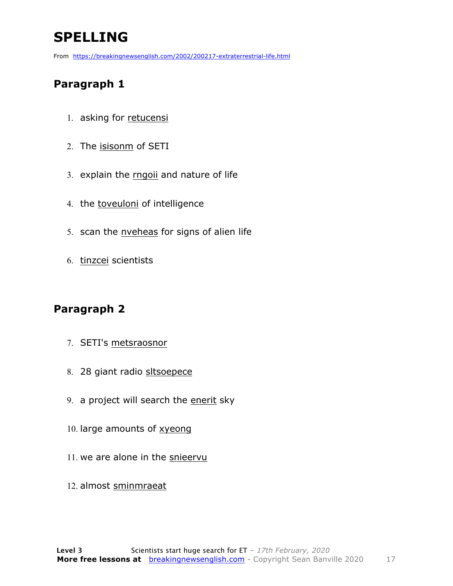### **SPELLING**

From https://breakingnewsenglish.com/2002/200217-extraterrestrial-life.html

#### **Paragraph 1**

- 1. asking for retucensi
- 2. The isisonm of SETI
- 3. explain the rngoii and nature of life
- 4. the toveuloni of intelligence
- 5. scan the nveheas for signs of alien life
- 6. tinzcei scientists

#### **Paragraph 2**

- 7. SETI's metsraosnor
- 8. 28 giant radio sltsoepece
- 9. a project will search the enerit sky
- 10. large amounts of xyeong
- 11. we are alone in the snieervu
- 12. almost sminmraeat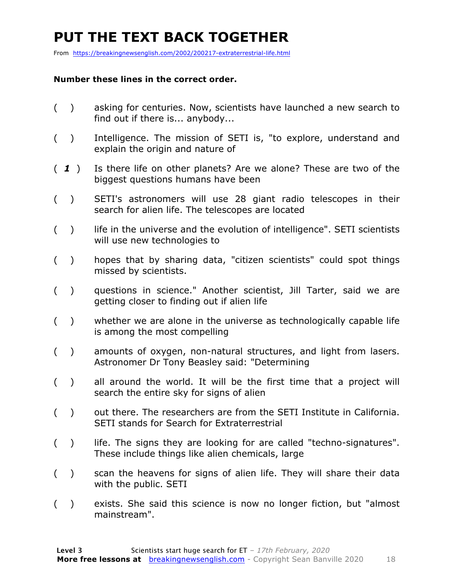### **PUT THE TEXT BACK TOGETHER**

From https://breakingnewsenglish.com/2002/200217-extraterrestrial-life.html

#### **Number these lines in the correct order.**

- ( ) asking for centuries. Now, scientists have launched a new search to find out if there is... anybody...
- ( ) Intelligence. The mission of SETI is, "to explore, understand and explain the origin and nature of
- ( *1* ) Is there life on other planets? Are we alone? These are two of the biggest questions humans have been
- ( ) SETI's astronomers will use 28 giant radio telescopes in their search for alien life. The telescopes are located
- () life in the universe and the evolution of intelligence". SETI scientists will use new technologies to
- ( ) hopes that by sharing data, "citizen scientists" could spot things missed by scientists.
- ( ) questions in science." Another scientist, Jill Tarter, said we are getting closer to finding out if alien life
- ( ) whether we are alone in the universe as technologically capable life is among the most compelling
- ( ) amounts of oxygen, non-natural structures, and light from lasers. Astronomer Dr Tony Beasley said: "Determining
- ( ) all around the world. It will be the first time that a project will search the entire sky for signs of alien
- ( ) out there. The researchers are from the SETI Institute in California. SETI stands for Search for Extraterrestrial
- () life. The signs they are looking for are called "techno-signatures". These include things like alien chemicals, large
- ( ) scan the heavens for signs of alien life. They will share their data with the public. SETI
- ( ) exists. She said this science is now no longer fiction, but "almost mainstream".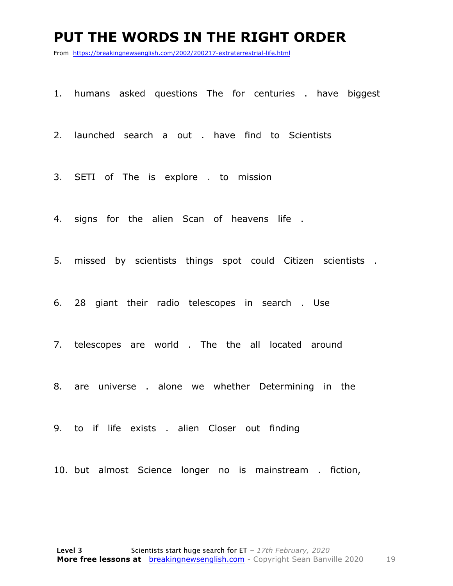#### **PUT THE WORDS IN THE RIGHT ORDER**

From https://breakingnewsenglish.com/2002/200217-extraterrestrial-life.html

- 1. humans asked questions The for centuries . have biggest
- 2. launched search a out . have find to Scientists
- 3. SETI of The is explore . to mission
- 4. signs for the alien Scan of heavens life .
- 5. missed by scientists things spot could Citizen scientists .
- 6. 28 giant their radio telescopes in search . Use
- 7. telescopes are world . The the all located around
- 8. are universe . alone we whether Determining in the
- 9. to if life exists . alien Closer out finding
- 10. but almost Science longer no is mainstream . fiction,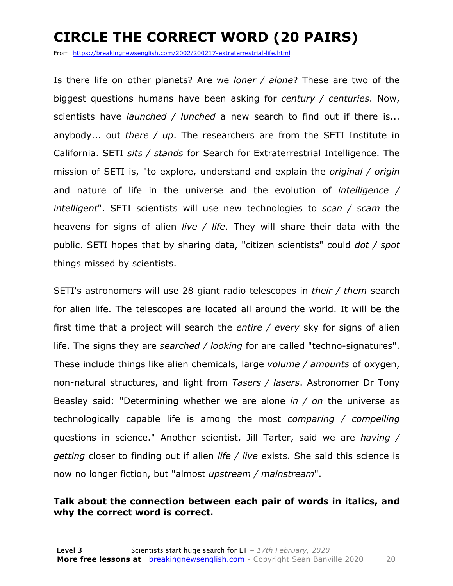### **CIRCLE THE CORRECT WORD (20 PAIRS)**

From https://breakingnewsenglish.com/2002/200217-extraterrestrial-life.html

Is there life on other planets? Are we *loner / alone*? These are two of the biggest questions humans have been asking for *century / centuries*. Now, scientists have *launched / lunched* a new search to find out if there is... anybody... out *there / up*. The researchers are from the SETI Institute in California. SETI *sits / stands* for Search for Extraterrestrial Intelligence. The mission of SETI is, "to explore, understand and explain the *original / origin* and nature of life in the universe and the evolution of *intelligence / intelligent*". SETI scientists will use new technologies to *scan / scam* the heavens for signs of alien *live / life*. They will share their data with the public. SETI hopes that by sharing data, "citizen scientists" could *dot / spot* things missed by scientists.

SETI's astronomers will use 28 giant radio telescopes in *their / them* search for alien life. The telescopes are located all around the world. It will be the first time that a project will search the *entire / every* sky for signs of alien life. The signs they are *searched / looking* for are called "techno-signatures". These include things like alien chemicals, large *volume / amounts* of oxygen, non-natural structures, and light from *Tasers / lasers*. Astronomer Dr Tony Beasley said: "Determining whether we are alone *in / on* the universe as technologically capable life is among the most *comparing / compelling* questions in science." Another scientist, Jill Tarter, said we are *having / getting* closer to finding out if alien *life / live* exists. She said this science is now no longer fiction, but "almost *upstream / mainstream*".

#### **Talk about the connection between each pair of words in italics, and why the correct word is correct.**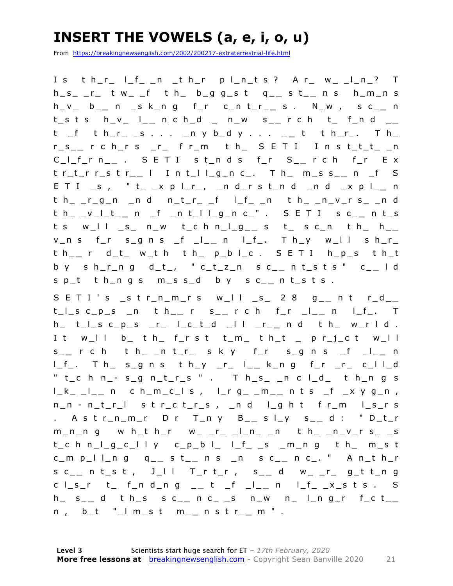### **INSERT THE VOWELS (a, e, i, o, u)**

From https://breakingnewsenglish.com/2002/200217-extraterrestrial-life.html

I s t h\_r\_ l\_f\_ \_n \_t h\_r p l\_n\_t s ? A r\_ w\_ \_l\_n\_? T h\_s\_ \_r\_ t w\_ \_f t h\_ b\_g g\_s t q\_ **\_** s t\_ **\_** n s h\_m\_n s h\_v\_ b\_ **\_** n \_s k\_n g f\_r c\_n t\_r\_ **\_** s . N\_w , s c\_ **\_** n t\_s t s h\_v\_ l\_ **\_** n c h\_d \_ n\_w s\_ **\_** r c h t\_ f\_n d \_ **\_**  t \_f t h\_r\_ \_s . . . \_n y b\_d y . . . \_ **\_** t t h\_r\_. T h\_ r\_s\_ **\_** r c h\_r s \_r\_ f r\_m t h\_ S E T I I n s t\_t\_t\_ \_n C\_l\_f\_r n\_ **\_** . S E T I s t\_n d s f\_r S\_ **\_** r c h f\_r E x t r\_t\_r r\_s t r\_ **\_** l I n t\_l l\_g\_n c\_. T h\_ m\_s s\_ **\_** n \_f S E T I \_s , " t\_ \_x p l\_r\_, \_n d\_r s t\_n d \_n d \_x p l\_ **\_** n th\_r\_g\_n \_nd n\_t\_r\_\_f l\_f\_\_n th\_\_n\_v\_r s\_\_nd t h\_ \_v\_l\_t\_ **\_** n \_f \_n t\_l l\_g\_n c\_" . S E T I s c\_ **\_** n t\_s t s w\_l l \_s\_ n\_w t\_c h n\_l\_g\_ **\_** s t\_ s c\_n t h\_ h\_ **\_**   $v_n$  s f\_r s\_g n s \_f \_l\_\_ n l\_f\_. T h\_y w\_l l s h\_r\_ t h\_ **\_** r d\_t\_ w\_t h t h\_ p\_b l\_c . S E T I h\_p\_s t h\_t b y s h\_r\_n g d\_ t\_, " c\_t\_z\_n s c\_ **\_** n t\_s t s " c\_ **\_** l d  $s p_t$  th\_ngs m\_ss\_d by sc\_\_nt\_sts.

S E T I ' s \_s t r\_n\_m\_r s w\_l l \_s\_ 2 8 g\_\_ n t r\_d\_\_ t\_l\_s c\_p\_s \_n t h\_ **\_** r s\_ **\_** r c h f\_r \_l\_ **\_** n l\_f\_. T h\_ t\_l\_s c\_p\_s \_r\_ l \_c\_t\_d \_l l \_r\_ **\_** n d t h\_ w\_r l d . It w\_ll b\_ t h\_ f\_r s t t\_m\_ t h\_t \_ p r\_j\_c t w\_ll s \_ **\_** r c h t h\_ \_n t\_r\_ s k y f\_r s\_g n s \_f \_l\_ **\_** n l\_f\_. T h\_ s\_g n s t h\_y \_r\_ l\_ **\_** k\_n g f\_r \_r\_ c\_l l\_d " t\_c h n\_- s\_g n\_t\_r\_s " . T h\_s\_ \_n c l\_d\_ t h\_n g s l\_k\_ \_l\_ **\_** n c h\_m\_c\_l s , l\_r g\_ \_m\_ **\_** n t s \_f \_x y g\_n , n\_n - n\_t\_r\_l s t r\_c t\_r\_s , \_n d l\_g h t f r\_m l\_s\_r s . A s t r\_n\_m\_r D r T\_n y B\_ **\_** s l\_y s\_ **\_** d : " D\_t\_r  $m_n$ n g w h\_t h\_r w\_ \_r\_ \_l\_n\_ \_n t h\_ \_n\_v\_r s\_ \_s  $t_c$  h n\_l\_g\_c\_l l y c\_p\_b l\_ l\_f\_ \_s \_m\_n g t h\_ m\_s t c\_m p\_l l\_n g q\_ **\_** s t\_ **\_** n s \_n s c\_ **\_** n c\_. " A n\_t h\_r s c\_ **\_** n t\_s t , J\_l l T\_r t\_r , s\_ **\_** d w\_ \_r\_ g\_t t\_n g c l\_s\_r t\_ f \_n d\_n g \_ **\_** t \_f \_l\_ **\_** n l\_f\_ \_x\_s t s . S h\_ s\_ **\_** d t h\_s s c\_ **\_** n c\_ \_s n\_w n\_ l\_n g\_r f\_c t\_ **\_**  n , b\_t "\_l m\_s t m\_ **\_** n s t r\_ **\_** m " .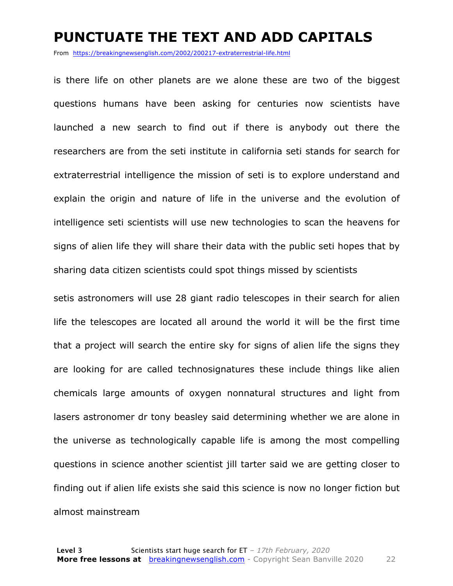#### **PUNCTUATE THE TEXT AND ADD CAPITALS**

From https://breakingnewsenglish.com/2002/200217-extraterrestrial-life.html

is there life on other planets are we alone these are two of the biggest questions humans have been asking for centuries now scientists have launched a new search to find out if there is anybody out there the researchers are from the seti institute in california seti stands for search for extraterrestrial intelligence the mission of seti is to explore understand and explain the origin and nature of life in the universe and the evolution of intelligence seti scientists will use new technologies to scan the heavens for signs of alien life they will share their data with the public seti hopes that by sharing data citizen scientists could spot things missed by scientists

setis astronomers will use 28 giant radio telescopes in their search for alien life the telescopes are located all around the world it will be the first time that a project will search the entire sky for signs of alien life the signs they are looking for are called technosignatures these include things like alien chemicals large amounts of oxygen nonnatural structures and light from lasers astronomer dr tony beasley said determining whether we are alone in the universe as technologically capable life is among the most compelling questions in science another scientist jill tarter said we are getting closer to finding out if alien life exists she said this science is now no longer fiction but almost mainstream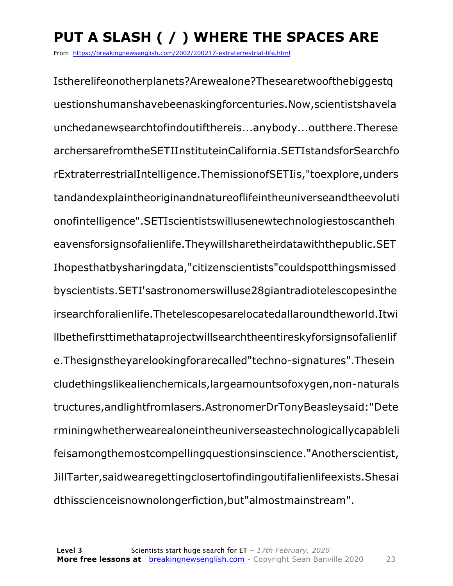### **PUT A SLASH ( / ) WHERE THE SPACES ARE**

From https://breakingnewsenglish.com/2002/200217-extraterrestrial-life.html

Istherelifeonotherplanets?Arewealone?Thesearetwoofthebiggestq uestionshumanshavebeenaskingforcenturies.Now,scientistshavela unchedanewsearchtofindoutifthereis...anybody...outthere.Therese archersarefromtheSETIInstituteinCalifornia.SETIstandsforSearchfo rExtraterrestrialIntelligence.ThemissionofSETIis,"toexplore,unders tandandexplaintheoriginandnatureoflifeintheuniverseandtheevoluti onofintelligence".SETIscientistswillusenewtechnologiestoscantheh eavensforsignsofalienlife.Theywillsharetheirdatawiththepublic.SET Ihopesthatbysharingdata,"citizenscientists"couldspotthingsmissed byscientists.SETI'sastronomerswilluse28giantradiotelescopesinthe irsearchforalienlife.Thetelescopesarelocatedallaroundtheworld.Itwi llbethefirsttimethataprojectwillsearchtheentireskyforsignsofalienlif e.Thesignstheyarelookingforarecalled"techno-signatures".Thesein cludethingslikealienchemicals,largeamountsofoxygen,non-naturals tructures,andlightfromlasers.AstronomerDrTonyBeasleysaid:"Dete rminingwhetherwearealoneintheuniverseastechnologicallycapableli feisamongthemostcompellingquestionsinscience."Anotherscientist, JillTarter,saidwearegettingclosertofindingoutifalienlifeexists.Shesai dthisscienceisnownolongerfiction,but"almostmainstream".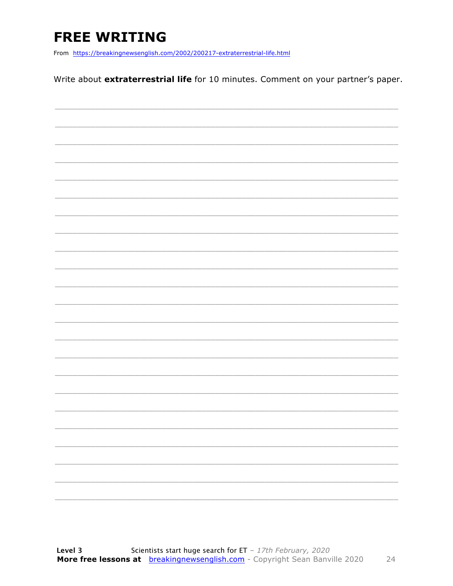### **FREE WRITING**

From https://breakingnewsenglish.com/2002/200217-extraterrestrial-life.html

Write about extraterrestrial life for 10 minutes. Comment on your partner's paper.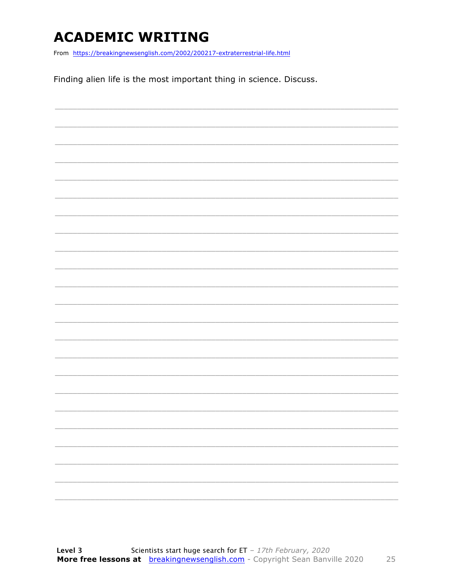### **ACADEMIC WRITING**

From https://breakingnewsenglish.com/2002/200217-extraterrestrial-life.html

Finding alien life is the most important thing in science. Discuss.

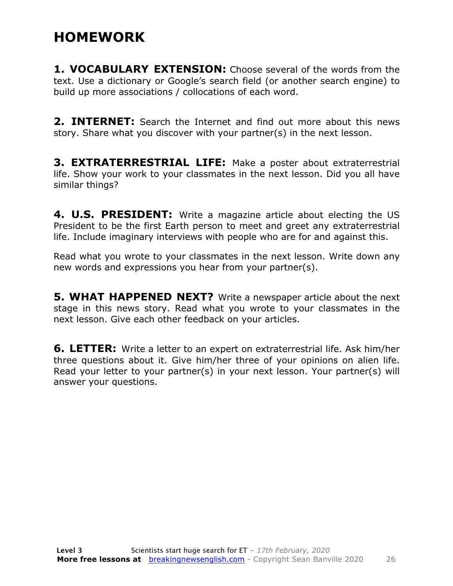#### **HOMEWORK**

**1. VOCABULARY EXTENSION:** Choose several of the words from the text. Use a dictionary or Google's search field (or another search engine) to build up more associations / collocations of each word.

**2. INTERNET:** Search the Internet and find out more about this news story. Share what you discover with your partner(s) in the next lesson.

**3. EXTRATERRESTRIAL LIFE:** Make a poster about extraterrestrial life. Show your work to your classmates in the next lesson. Did you all have similar things?

**4. U.S. PRESIDENT:** Write a magazine article about electing the US President to be the first Earth person to meet and greet any extraterrestrial life. Include imaginary interviews with people who are for and against this.

Read what you wrote to your classmates in the next lesson. Write down any new words and expressions you hear from your partner(s).

**5. WHAT HAPPENED NEXT?** Write a newspaper article about the next stage in this news story. Read what you wrote to your classmates in the next lesson. Give each other feedback on your articles.

**6. LETTER:** Write a letter to an expert on extraterrestrial life. Ask him/her three questions about it. Give him/her three of your opinions on alien life. Read your letter to your partner(s) in your next lesson. Your partner(s) will answer your questions.